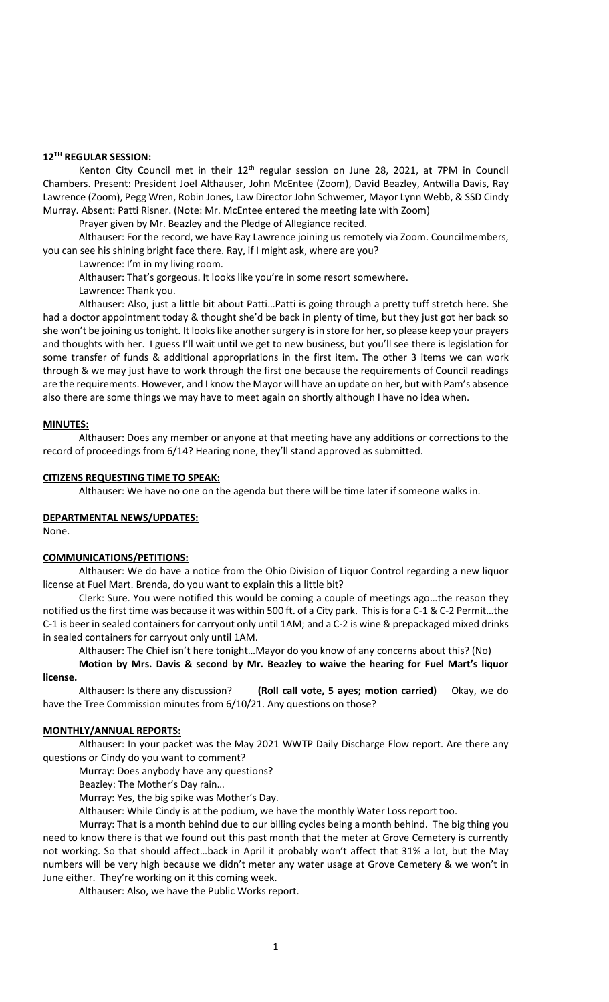# **12TH REGULAR SESSION:**

Kenton City Council met in their  $12<sup>th</sup>$  regular session on June 28, 2021, at 7PM in Council Chambers. Present: President Joel Althauser, John McEntee (Zoom), David Beazley, Antwilla Davis, Ray Lawrence (Zoom), Pegg Wren, Robin Jones, Law Director John Schwemer, Mayor Lynn Webb, & SSD Cindy Murray. Absent: Patti Risner. (Note: Mr. McEntee entered the meeting late with Zoom)

Prayer given by Mr. Beazley and the Pledge of Allegiance recited.

Althauser: For the record, we have Ray Lawrence joining us remotely via Zoom. Councilmembers, you can see his shining bright face there. Ray, if I might ask, where are you?

Lawrence: I'm in my living room.

Althauser: That's gorgeous. It looks like you're in some resort somewhere.

Lawrence: Thank you.

Althauser: Also, just a little bit about Patti…Patti is going through a pretty tuff stretch here. She had a doctor appointment today & thought she'd be back in plenty of time, but they just got her back so she won't be joining us tonight. It looks like another surgery is in store for her, so please keep your prayers and thoughts with her. I guess I'll wait until we get to new business, but you'll see there is legislation for some transfer of funds & additional appropriations in the first item. The other 3 items we can work through & we may just have to work through the first one because the requirements of Council readings are the requirements. However, and I know the Mayor will have an update on her, but with Pam's absence also there are some things we may have to meet again on shortly although I have no idea when.

#### **MINUTES:**

Althauser: Does any member or anyone at that meeting have any additions or corrections to the record of proceedings from 6/14? Hearing none, they'll stand approved as submitted.

#### **CITIZENS REQUESTING TIME TO SPEAK:**

Althauser: We have no one on the agenda but there will be time later if someone walks in.

# **DEPARTMENTAL NEWS/UPDATES:**

None.

# **COMMUNICATIONS/PETITIONS:**

Althauser: We do have a notice from the Ohio Division of Liquor Control regarding a new liquor license at Fuel Mart. Brenda, do you want to explain this a little bit?

Clerk: Sure. You were notified this would be coming a couple of meetings ago…the reason they notified us the first time was because it was within 500 ft. of a City park. This is for a C-1 & C-2 Permit…the C-1 is beer in sealed containers for carryout only until 1AM; and a C-2 is wine & prepackaged mixed drinks in sealed containers for carryout only until 1AM.

Althauser: The Chief isn't here tonight…Mayor do you know of any concerns about this? (No) **Motion by Mrs. Davis & second by Mr. Beazley to waive the hearing for Fuel Mart's liquor** 

### **license.**

Althauser: Is there any discussion? **(Roll call vote, 5 ayes; motion carried)** Okay, we do have the Tree Commission minutes from 6/10/21. Any questions on those?

#### **MONTHLY/ANNUAL REPORTS:**

Althauser: In your packet was the May 2021 WWTP Daily Discharge Flow report. Are there any questions or Cindy do you want to comment?

Murray: Does anybody have any questions?

Beazley: The Mother's Day rain…

Murray: Yes, the big spike was Mother's Day.

Althauser: While Cindy is at the podium, we have the monthly Water Loss report too.

Murray: That is a month behind due to our billing cycles being a month behind. The big thing you need to know there is that we found out this past month that the meter at Grove Cemetery is currently not working. So that should affect…back in April it probably won't affect that 31% a lot, but the May numbers will be very high because we didn't meter any water usage at Grove Cemetery & we won't in June either. They're working on it this coming week.

Althauser: Also, we have the Public Works report.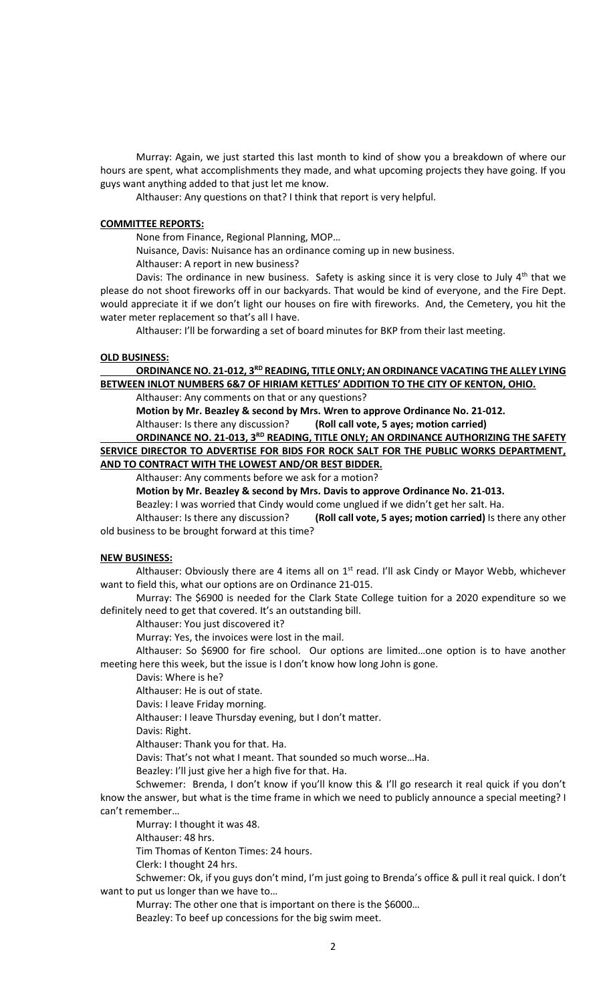Murray: Again, we just started this last month to kind of show you a breakdown of where our hours are spent, what accomplishments they made, and what upcoming projects they have going. If you guys want anything added to that just let me know.

Althauser: Any questions on that? I think that report is very helpful.

### **COMMITTEE REPORTS:**

None from Finance, Regional Planning, MOP…

Nuisance, Davis: Nuisance has an ordinance coming up in new business.

Althauser: A report in new business?

Davis: The ordinance in new business. Safety is asking since it is very close to July  $4<sup>th</sup>$  that we please do not shoot fireworks off in our backyards. That would be kind of everyone, and the Fire Dept. would appreciate it if we don't light our houses on fire with fireworks. And, the Cemetery, you hit the water meter replacement so that's all I have.

Althauser: I'll be forwarding a set of board minutes for BKP from their last meeting.

# **OLD BUSINESS:**

# ORDINANCE NO. 21-012, 3<sup>RD</sup> READING, TITLE ONLY; AN ORDINANCE VACATING THE ALLEY LYING **BETWEEN INLOT NUMBERS 6&7 OF HIRIAM KETTLES' ADDITION TO THE CITY OF KENTON, OHIO.**

Althauser: Any comments on that or any questions?

**Motion by Mr. Beazley & second by Mrs. Wren to approve Ordinance No. 21-012.**

Althauser: Is there any discussion? **(Roll call vote, 5 ayes; motion carried)**

**ORDINANCE NO. 21-013, 3RD READING, TITLE ONLY; AN ORDINANCE AUTHORIZING THE SAFETY SERVICE DIRECTOR TO ADVERTISE FOR BIDS FOR ROCK SALT FOR THE PUBLIC WORKS DEPARTMENT, AND TO CONTRACT WITH THE LOWEST AND/OR BEST BIDDER.**

Althauser: Any comments before we ask for a motion?

**Motion by Mr. Beazley & second by Mrs. Davis to approve Ordinance No. 21-013.**

Beazley: I was worried that Cindy would come unglued if we didn't get her salt. Ha.

Althauser: Is there any discussion? **(Roll call vote, 5 ayes; motion carried)** Is there any other old business to be brought forward at this time?

#### **NEW BUSINESS:**

Althauser: Obviously there are 4 items all on  $1<sup>st</sup>$  read. I'll ask Cindy or Mayor Webb, whichever want to field this, what our options are on Ordinance 21-015.

Murray: The \$6900 is needed for the Clark State College tuition for a 2020 expenditure so we definitely need to get that covered. It's an outstanding bill.

Althauser: You just discovered it?

Murray: Yes, the invoices were lost in the mail.

Althauser: So \$6900 for fire school. Our options are limited…one option is to have another meeting here this week, but the issue is I don't know how long John is gone.

Davis: Where is he?

Althauser: He is out of state.

Davis: I leave Friday morning.

Althauser: I leave Thursday evening, but I don't matter.

Davis: Right.

Althauser: Thank you for that. Ha.

Davis: That's not what I meant. That sounded so much worse…Ha.

Beazley: I'll just give her a high five for that. Ha.

Schwemer: Brenda, I don't know if you'll know this & I'll go research it real quick if you don't know the answer, but what is the time frame in which we need to publicly announce a special meeting? I can't remember…

Murray: I thought it was 48.

Althauser: 48 hrs.

Tim Thomas of Kenton Times: 24 hours.

Clerk: I thought 24 hrs.

Schwemer: Ok, if you guys don't mind, I'm just going to Brenda's office & pull it real quick. I don't want to put us longer than we have to…

Murray: The other one that is important on there is the \$6000…

Beazley: To beef up concessions for the big swim meet.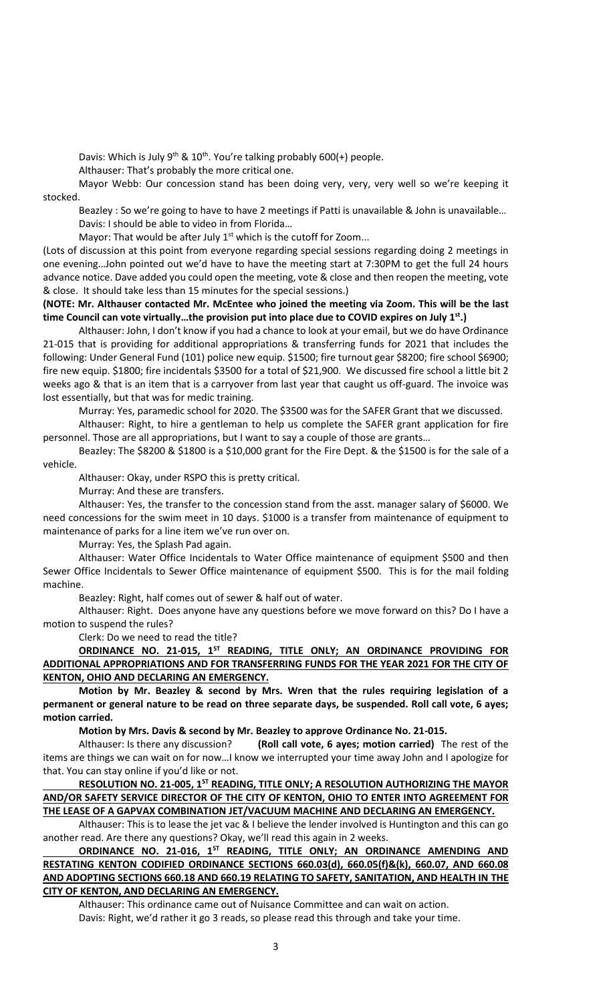Davis: Which is July 9<sup>th</sup> & 10<sup>th</sup>. You're talking probably 600(+) people.

Althauser: That's probably the more critical one.

Mayor Webb: Our concession stand has been doing very, very, very well so we're keeping it stocked.

Beazley : So we're going to have to have 2 meetings if Patti is unavailable & John is unavailable… Davis: I should be able to video in from Florida…

Mayor: That would be after July  $1<sup>st</sup>$  which is the cutoff for Zoom...

(Lots of discussion at this point from everyone regarding special sessions regarding doing 2 meetings in one evening…John pointed out we'd have to have the meeting start at 7:30PM to get the full 24 hours advance notice. Dave added you could open the meeting, vote & close and then reopen the meeting, vote & close. It should take less than 15 minutes for the special sessions.)

**(NOTE: Mr. Althauser contacted Mr. McEntee who joined the meeting via Zoom. This will be the last time Council can vote virtually…the provision put into place due to COVID expires on July 1st .)**

Althauser: John, I don't know if you had a chance to look at your email, but we do have Ordinance 21-015 that is providing for additional appropriations & transferring funds for 2021 that includes the following: Under General Fund (101) police new equip. \$1500; fire turnout gear \$8200; fire school \$6900; fire new equip. \$1800; fire incidentals \$3500 for a total of \$21,900. We discussed fire school a little bit 2 weeks ago & that is an item that is a carryover from last year that caught us off-guard. The invoice was lost essentially, but that was for medic training.

Murray: Yes, paramedic school for 2020. The \$3500 was for the SAFER Grant that we discussed.

Althauser: Right, to hire a gentleman to help us complete the SAFER grant application for fire personnel. Those are all appropriations, but I want to say a couple of those are grants…

Beazley: The \$8200 & \$1800 is a \$10,000 grant for the Fire Dept. & the \$1500 is for the sale of a vehicle.

Althauser: Okay, under RSPO this is pretty critical.

Murray: And these are transfers.

Althauser: Yes, the transfer to the concession stand from the asst. manager salary of \$6000. We need concessions for the swim meet in 10 days. \$1000 is a transfer from maintenance of equipment to maintenance of parks for a line item we've run over on.

Murray: Yes, the Splash Pad again.

Althauser: Water Office Incidentals to Water Office maintenance of equipment \$500 and then Sewer Office Incidentals to Sewer Office maintenance of equipment \$500. This is for the mail folding machine.

Beazley: Right, half comes out of sewer & half out of water.

Althauser: Right. Does anyone have any questions before we move forward on this? Do I have a motion to suspend the rules?

Clerk: Do we need to read the title?

**ORDINANCE NO. 21-015, 1ST READING, TITLE ONLY; AN ORDINANCE PROVIDING FOR ADDITIONAL APPROPRIATIONS AND FOR TRANSFERRING FUNDS FOR THE YEAR 2021 FOR THE CITY OF KENTON, OHIO AND DECLARING AN EMERGENCY.**

**Motion by Mr. Beazley & second by Mrs. Wren that the rules requiring legislation of a permanent or general nature to be read on three separate days, be suspended. Roll call vote, 6 ayes; motion carried.** 

**Motion by Mrs. Davis & second by Mr. Beazley to approve Ordinance No. 21-015.**

Althauser: Is there any discussion? **(Roll call vote, 6 ayes; motion carried)** The rest of the items are things we can wait on for now…I know we interrupted your time away John and I apologize for that. You can stay online if you'd like or not.

**RESOLUTION NO. 21-005, 1ST READING, TITLE ONLY; A RESOLUTION AUTHORIZING THE MAYOR AND/OR SAFETY SERVICE DIRECTOR OF THE CITY OF KENTON, OHIO TO ENTER INTO AGREEMENT FOR THE LEASE OF A GAPVAX COMBINATION JET/VACUUM MACHINE AND DECLARING AN EMERGENCY.**

Althauser: This is to lease the jet vac & I believe the lender involved is Huntington and this can go another read. Are there any questions? Okay, we'll read this again in 2 weeks.

# **ORDINANCE NO. 21-016, 1ST READING, TITLE ONLY; AN ORDINANCE AMENDING AND RESTATING KENTON CODIFIED ORDINANCE SECTIONS 660.03(d), 660.05(f)&(k), 660.07, AND 660.08 AND ADOPTING SECTIONS 660.18 AND 660.19 RELATING TO SAFETY, SANITATION, AND HEALTH IN THE CITY OF KENTON, AND DECLARING AN EMERGENCY.**

Althauser: This ordinance came out of Nuisance Committee and can wait on action. Davis: Right, we'd rather it go 3 reads, so please read this through and take your time.